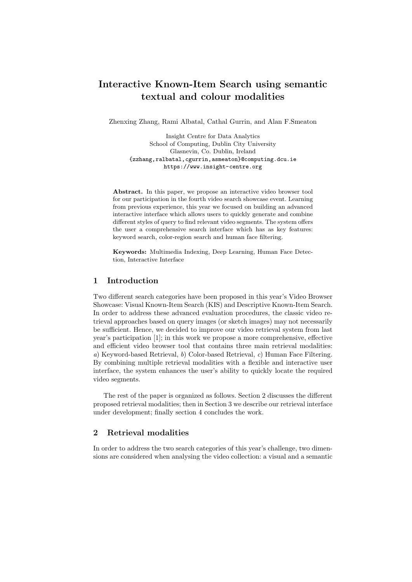# Interactive Known-Item Search using semantic textual and colour modalities

Zhenxing Zhang, Rami Albatal, Cathal Gurrin, and Alan F.Smeaton

Insight Centre for Data Analytics School of Computing, Dublin City University Glasnevin, Co. Dublin, Ireland {zzhang,ralbatal,cgurrin,asmeaton}@computing.dcu.ie https://www.insight-centre.org

Abstract. In this paper, we propose an interactive video browser tool for our participation in the fourth video search showcase event. Learning from previous experience, this year we focused on building an advanced interactive interface which allows users to quickly generate and combine different styles of query to find relevant video segments. The system offers the user a comprehensive search interface which has as key features: keyword search, color-region search and human face filtering.

Keywords: Multimedia Indexing, Deep Learning, Human Face Detection, Interactive Interface

## 1 Introduction

Two different search categories have been proposed in this year's Video Browser Showcase: Visual Known-Item Search (KIS) and Descriptive Known-Item Search. In order to address these advanced evaluation procedures, the classic video retrieval approaches based on query images (or sketch images) may not necessarily be sufficient. Hence, we decided to improve our video retrieval system from last year's participation [1]; in this work we propose a more comprehensive, effective and efficient video browser tool that contains three main retrieval modalities: a) Keyword-based Retrieval, b) Color-based Retrieval, c) Human Face Filtering. By combining multiple retrieval modalities with a flexible and interactive user interface, the system enhances the user's ability to quickly locate the required video segments.

The rest of the paper is organized as follows. Section 2 discusses the different proposed retrieval modalities; then in Section 3 we describe our retrieval interface under development; finally section 4 concludes the work.

## 2 Retrieval modalities

In order to address the two search categories of this year's challenge, two dimensions are considered when analysing the video collection: a visual and a semantic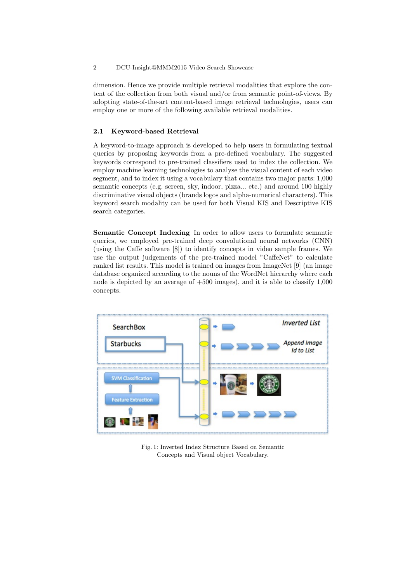#### 2 DCU-Insight@MMM2015 Video Search Showcase

dimension. Hence we provide multiple retrieval modalities that explore the content of the collection from both visual and/or from semantic point-of-views. By adopting state-of-the-art content-based image retrieval technologies, users can employ one or more of the following available retrieval modalities.

#### 2.1 Keyword-based Retrieval

A keyword-to-image approach is developed to help users in formulating textual queries by proposing keywords from a pre-defined vocabulary. The suggested keywords correspond to pre-trained classifiers used to index the collection. We employ machine learning technologies to analyse the visual content of each video segment, and to index it using a vocabulary that contains two major parts: 1,000 semantic concepts (e.g. screen, sky, indoor, pizza... etc.) and around 100 highly discriminative visual objects (brands logos and alpha-numerical characters). This keyword search modality can be used for both Visual KIS and Descriptive KIS search categories.

Semantic Concept Indexing In order to allow users to formulate semantic queries, we employed pre-trained deep convolutional neural networks (CNN) (using the Caffe software [8]) to identify concepts in video sample frames. We use the output judgements of the pre-trained model "CaffeNet" to calculate ranked list results. This model is trained on images from ImageNet  $[9]$  (an image database organized according to the nouns of the WordNet hierarchy where each node is depicted by an average of +500 images), and it is able to classify 1,000 concepts.



Fig. 1: Inverted Index Structure Based on Semantic Concepts and Visual object Vocabulary.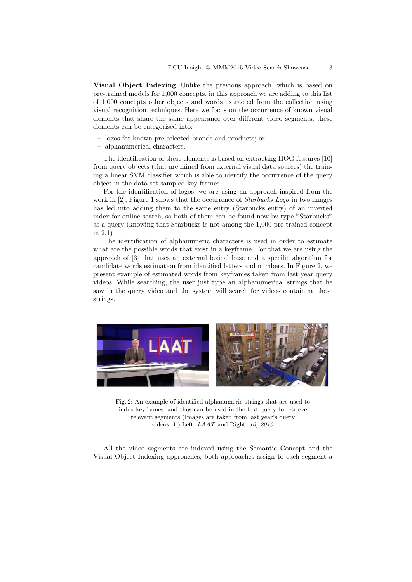Visual Object Indexing Unlike the previous approach, which is based on pre-trained models for 1,000 concepts, in this approach we are adding to this list of 1,000 concepts other objects and words extracted from the collection using visual recognition techniques. Here we focus on the occurrence of known visual elements that share the same appearance over different video segments; these elements can be categorised into:

- logos for known pre-selected brands and products; or
- alphanumerical characters.

The identification of these elements is based on extracting HOG features [10] from query objects (that are mined from external visual data sources) the training a linear SVM classifier which is able to identify the occurrence of the query object in the data set sampled key-frames.

For the identification of logos, we are using an approach inspired from the work in [2], Figure 1 shows that the occurrence of *Starbucks Logo* in two images has led into adding them to the same entry (Starbucks entry) of an inverted index for online search, so both of them can be found now by type "Starbucks" as a query (knowing that Starbucks is not among the 1,000 pre-trained concept in 2.1)

The identification of alphanumeric characters is used in order to estimate what are the possible words that exist in a keyframe. For that we are using the approach of [3] that uses an external lexical base and a specific algorithm for candidate words estimation from identified letters and numbers. In Figure 2, we present example of estimated words from keyframes taken from last year query videos. While searching, the user just type an alphanumerical strings that he saw in the query video and the system will search for videos containing these strings.



Fig. 2: An example of identified alphanumeric strings that are used to index keyframes, and thus can be used in the text query to retrieve relevant segments (Images are taken from last year's query videos [1]).Left: LAAT and Right: 10, 2010

All the video segments are indexed using the Semantic Concept and the Visual Object Indexing approaches; both approaches assign to each segment a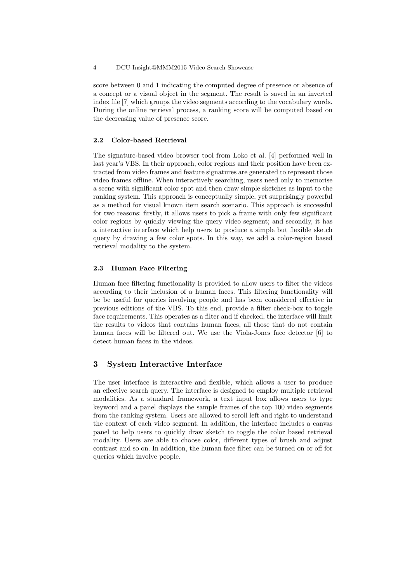#### 4 DCU-Insight@MMM2015 Video Search Showcase

score between 0 and 1 indicating the computed degree of presence or absence of a concept or a visual object in the segment. The result is saved in an inverted index file [7] which groups the video segments according to the vocabulary words. During the online retrieval process, a ranking score will be computed based on the decreasing value of presence score.

#### 2.2 Color-based Retrieval

The signature-based video browser tool from Loko et al. [4] performed well in last year's VBS. In their approach, color regions and their position have been extracted from video frames and feature signatures are generated to represent those video frames offline. When interactively searching, users need only to memorise a scene with significant color spot and then draw simple sketches as input to the ranking system. This approach is conceptually simple, yet surprisingly powerful as a method for visual known item search scenario. This approach is successful for two reasons: firstly, it allows users to pick a frame with only few significant color regions by quickly viewing the query video segment; and secondly, it has a interactive interface which help users to produce a simple but flexible sketch query by drawing a few color spots. In this way, we add a color-region based retrieval modality to the system.

#### 2.3 Human Face Filtering

Human face filtering functionality is provided to allow users to filter the videos according to their inclusion of a human faces. This filtering functionality will be be useful for queries involving people and has been considered effective in previous editions of the VBS. To this end, provide a filter check-box to toggle face requirements. This operates as a filter and if checked, the interface will limit the results to videos that contains human faces, all those that do not contain human faces will be filtered out. We use the Viola-Jones face detector [6] to detect human faces in the videos.

## 3 System Interactive Interface

The user interface is interactive and flexible, which allows a user to produce an effective search query. The interface is designed to employ multiple retrieval modalities. As a standard framework, a text input box allows users to type keyword and a panel displays the sample frames of the top 100 video segments from the ranking system. Users are allowed to scroll left and right to understand the context of each video segment. In addition, the interface includes a canvas panel to help users to quickly draw sketch to toggle the color based retrieval modality. Users are able to choose color, different types of brush and adjust contrast and so on. In addition, the human face filter can be turned on or off for queries which involve people.